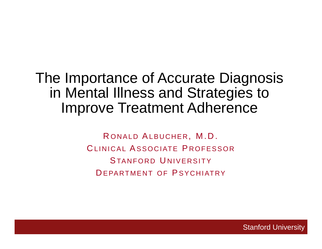# The Importance of Accurate Diagnosis in Mental Illness and Strategies to Improve Treatment Adherence

R ONALD ALBUCHER, M.D. CLINICAL ASSOCIATE P ROFESSORSTANFORD UNIVERSITY DEPARTMENT OF PSYCHIATRY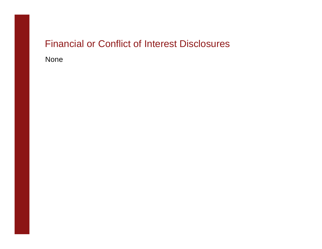#### Financial or Conflict of Interest Disclosures

None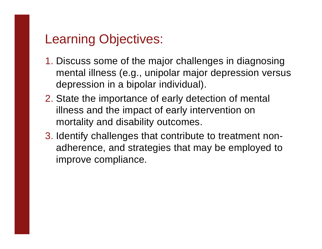## Learning Objectives:

- 1. Discuss some of the major challenges in diagnosing mental illness (e.g., unipolar major depression versus depression in a bipolar individual).
- 2. State the importance of early detection of mental illness and the impact of early intervention on mortality and disability outcomes.
- 3. Identify challenges that contribute to treatment nonadherence, and strategies that may be employed to improve compliance.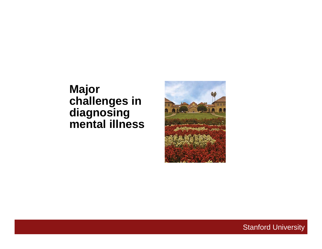### **Major challenges in diagnosing mental illness**



Stanford University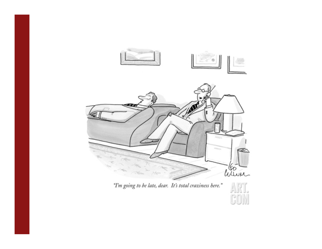



"Im going to be late, dear. It's total craziness here."

GOM.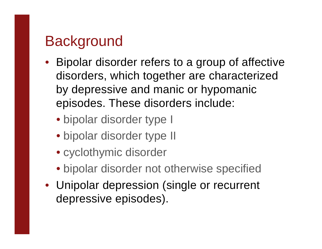# **Background**

- Bipolar disorder refers to a group of affective disorders, which together are characterized by depressive and manic or hypomanic episodes. These disorders include:
	- bipolar disorder type I
	- bipolar disorder type II
	- cyclothymic disorder
	- bipolar disorder not otherwise specified
- Unipolar depression (single or recurrent depressive episodes).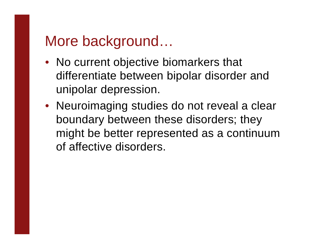# More background…

- No current objective biomarkers that differentiate between bipolar disorder and unipolar depression.
- Neuroimaging studies do not reveal a clear boundary between these disorders; they might be better represented as a continuum of affective disorders.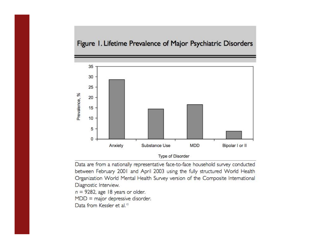#### Figure 1. Lifetime Prevalence of Major Psychiatric Disorders



Data are from a nationally representative face-to-face household survey conducted between February 2001 and April 2003 using the fully structured World Health Organization World Mental Health Survey version of the Composite International Diagnostic Interview.

 $n = 9282$ , age 18 years or older.

 $MDD =$  major depressive disorder.

Data from Kessler et al.<sup>10</sup>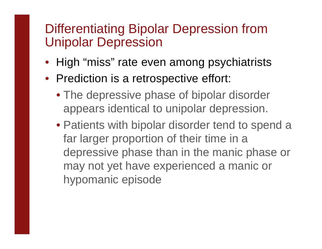### Differentiating Bipolar Depression from Unipolar Depression

- High "miss" rate even among psychiatrists
- Prediction is a retrospective effort:
	- The depressive phase of bipolar disorder appears identical to unipolar depression.
	- Patients with bipolar disorder tend to spend a far larger proportion of their time in a depressive phase than in the manic phase or may not yet have experienced a manic or hypomanic episode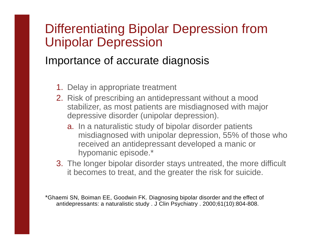### Differentiating Bipolar Depression from Unipolar Depression

### Importance of accurate diagnosis

- 1. Delay in appropriate treatment
- 2. Risk of prescribing an antidepressant without a mood stabilizer, as most patients are misdiagnosed with major depressive disorder (unipolar depression).
	- a. In a naturalistic study of bipolar disorder patients misdiagnosed with unipolar depression, 55% of those who received an antidepressant developed a manic or hypomanic episode.\*
- 3. The longer bipolar disorder stays untreated, the more difficult it becomes to treat, and the greater the risk for suicide.

\*Ghaemi SN, Boiman EE, Goodwin FK. Diagnosing bipolar disorder and the effect of antidepressants: a naturalistic study . J Clin Psychiatry . 2000;61(10):804-808.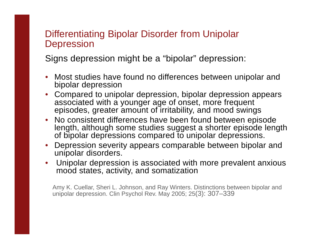#### Differentiating Bipolar Disorder from Unipolar **Depression**

Signs depression might be a "bipolar" depression:

- $\bullet$  Most studies have found no differences between unipolar and bipolar depression
- • Compared to unipolar depression, bipolar depression appears associated with a younger age of onset, more frequent episodes, greater amount of irritability, and mood swings
- No consistent differences have been found between episode length, although some studies suggest a shorter episode length of bipolar depressions compared to unipolar depressions.
- $\bullet$  Depression severity appears comparable between bipolar and unipolar disorders.
- $\bullet$  Unipolar depression is associated with more prevalent anxious mood states, activity, and somatization

Amy K. Cuellar, Sheri L. Johnson, and Ray Winters. Distinctions between bipolar and unipolar depression. Clin Psychol Rev. May 2005; 25(3): 307–339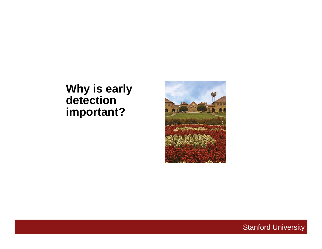#### **Why is early detection important?**



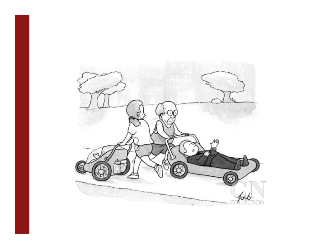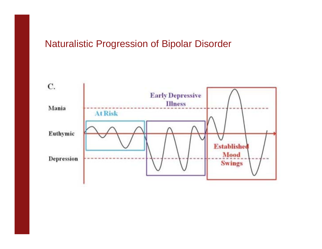#### Naturalistic Progression of Bipolar Disorder

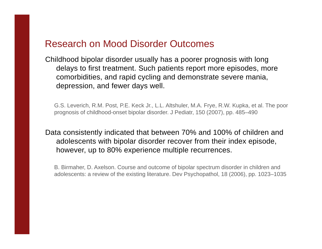#### Research on Mood Disorder Outcomes

Childhood bipolar disorder usually has a poorer prognosis with long delays to first treatment. Such patients report more episodes, more comorbidities, and rapid cycling and demonstrate severe mania, depression, and fewer days well.

G.S. Leverich, R.M. Post, P.E. Keck Jr., L.L. Altshuler, M.A. Frye, R.W. Kupka, et al. The poor prognosis of childhood-onset bipolar disorder. J Pediatr, 150 (2007), pp. 485–490

Data consistently indicated that between 70% and 100% of children and adolescents with bipolar disorder recover from their index episode, however, up to 80% experience multiple recurrences.

B. Birmaher, D. Axelson. Course and outcome of bipolar spectrum disorder in children and adolescents: a review of the existing literature. Dev Psychopathol, 18 (2006), pp. 1023–1035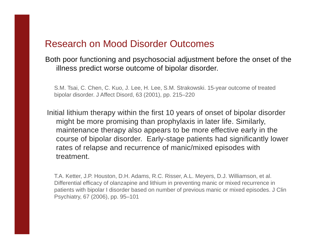#### Research on Mood Disorder Outcomes

#### Both poor functioning and psychosocial adjustment before the onset of the illness predict worse outcome of bipolar disorder.

S.M. Tsai, C. Chen, C. Kuo, J. Lee, H. Lee, S.M. Strakowski. 15-year outcome of treated bipolar disorder. J Affect Disord, 63 (2001), pp. 215–220

Initial lithium therapy within the first 10 years of onset of bipolar disorder might be more promising than prophylaxis in later life. Similarly, maintenance therapy also appears to be more effective early in the course of bipolar disorder. Early-stage patients had significantly lower rates of relapse and recurrence of manic/mixed episodes with treatment.

T.A. Ketter, J.P. Houston, D.H. Adams, R.C. Risser, A.L. Meyers, D.J. Williamson, et al. Differential efficacy of olanzapine and lithium in preventing manic or mixed recurrence in patients with bipolar I disorder based on number of previous manic or mixed episodes. J Clin Psychiatry, 67 (2006), pp. 95–101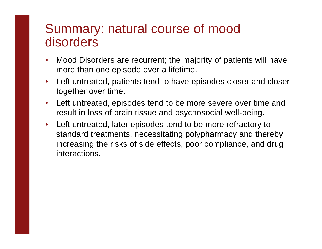### Summary: natural course of mood disorders

- $\bullet$  Mood Disorders are recurrent; the majority of patients will have more than one episode over a lifetime.
- $\bullet$  Left untreated, patients tend to have episodes closer and closer together over time.
- $\bullet$  Left untreated, episodes tend to be more severe over time and result in loss of brain tissue and psychosocial well-being.
- $\bullet$  Left untreated, later episodes tend to be more refractory to standard treatments, necessitating polypharmacy and thereby increasing the risks of side effects, poor compliance, and drug interactions.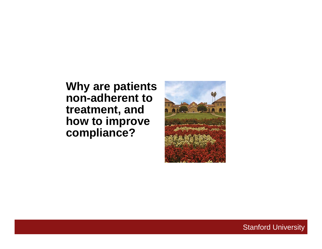#### **Why are patients non-adherent to treatment, and how to improve compliance?**



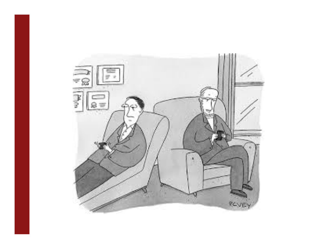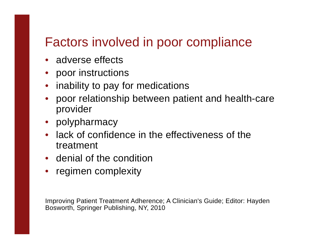## Factors involved in poor compliance

- adverse effects
- poor instructions
- •inability to pay for medications
- • poor relationship between patient and health-care provider
- polypharmacy
- lack of confidence in the effectiveness of the treatment
- denial of the condition
- regimen complexity

Improving Patient Treatment Adherence; A Clinician's Guide; Editor: Hayden Bosworth, Springer Publishing, NY, 2010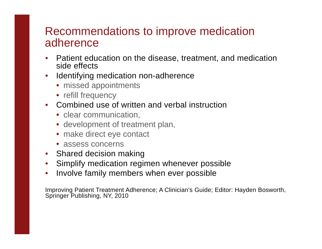#### Recommendations to improve medication adherence

- $\bullet$  Patient education on the disease, treatment, and medication side effects
- • Identifying medication non-adherence
	- missed appointments
	- refill frequency
- Combined use of written and verbal instruction
	- clear communication,
	- development of treatment plan,
	- make direct eye contact
	- assess concerns
- Shared decision making
- Simplify medication regimen whenever possible
- •Involve family members when ever possible

Improving Patient Treatment Adherence; A Clinician's Guide; Editor: Hayden Bosworth, Springer Publishing, NY, 2010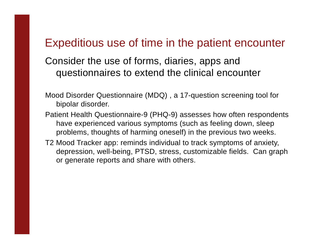#### Expeditious use of time in the patient encounter

- Consider the use of forms, diaries, apps and questionnaires to extend the clinical encounter
- Mood Disorder Questionnaire (MDQ) , a 17-question screening tool for bipolar disorder.
- Patient Health Questionnaire-9 (PHQ-9) assesses how often respondents have experienced various symptoms (such as feeling down, sleep problems, thoughts of harming oneself) in the previous two weeks.
- T2 Mood Tracker app: reminds individual to track symptoms of anxiety, depression, well-being, PTSD, stress, customizable fields. Can graph or generate reports and share with others.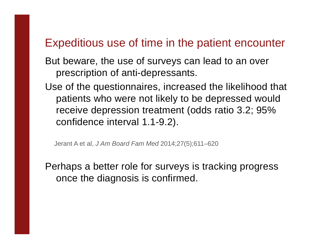#### Expeditious use of time in the patient encounter

- But beware, the use of surveys can lead to an over prescription of anti-depressants.
- Use of the questionnaires, increased the likelihood that patients who were not likely to be depressed would receive depression treatment (odds ratio 3.2; 95% confidence interval 1.1-9.2).

Jerant A et al, *J Am Board Fam Med* 2014;27(5);611–620

Perhaps a better role for surveys is tracking progress once the diagnosis is confirmed.